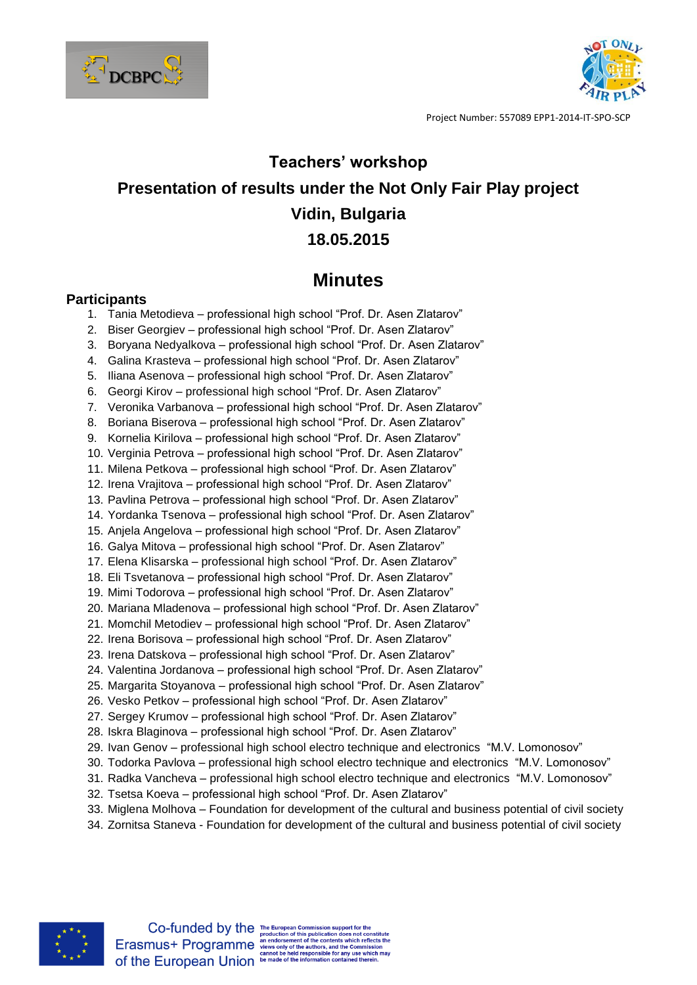



## **Teachers' workshop Presentation of results under the Not Only Fair Play project Vidin, Bulgaria 18.05.2015**

## **Minutes**

## **Participants**

- 1. Tania Metodieva professional high school "Prof. Dr. Asen Zlatarov"
- 2. Biser Georgiev professional high school "Prof. Dr. Asen Zlatarov"
- 3. Boryana Nedyalkova professional high school "Prof. Dr. Asen Zlatarov"
- 4. Galina Krasteva professional high school "Prof. Dr. Asen Zlatarov"
- 5. Iliana Asenova professional high school "Prof. Dr. Asen Zlatarov"
- 6. Georgi Kirov professional high school "Prof. Dr. Asen Zlatarov"
- 7. Veronika Varbanova professional high school "Prof. Dr. Asen Zlatarov"
- 8. Boriana Biserova professional high school "Prof. Dr. Asen Zlatarov"
- 9. Kornelia Kirilova professional high school "Prof. Dr. Asen Zlatarov"
- 10. Verginia Petrova professional high school "Prof. Dr. Asen Zlatarov"
- 11. Milena Petkova professional high school "Prof. Dr. Asen Zlatarov"
- 12. Irena Vrajitova professional high school "Prof. Dr. Asen Zlatarov"
- 13. Pavlina Petrova professional high school "Prof. Dr. Asen Zlatarov"
- 14. Yordanka Tsenova professional high school "Prof. Dr. Asen Zlatarov"
- 15. Anjela Angelova professional high school "Prof. Dr. Asen Zlatarov"
- 16. Galya Mitova professional high school "Prof. Dr. Asen Zlatarov"
- 17. Elena Klisarska professional high school "Prof. Dr. Asen Zlatarov"
- 18. Eli Tsvetanova professional high school "Prof. Dr. Asen Zlatarov"
- 19. Mimi Todorova professional high school "Prof. Dr. Asen Zlatarov"
- 20. Mariana Mladenova professional high school "Prof. Dr. Asen Zlatarov"
- 21. Momchil Metodiev professional high school "Prof. Dr. Asen Zlatarov"
- 22. Irena Borisova professional high school "Prof. Dr. Asen Zlatarov"
- 23. Irena Datskova professional high school "Prof. Dr. Asen Zlatarov"
- 24. Valentina Jordanova professional high school "Prof. Dr. Asen Zlatarov"
- 25. Margarita Stoyanova professional high school "Prof. Dr. Asen Zlatarov"
- 26. Vesko Petkov professional high school "Prof. Dr. Asen Zlatarov"
- 27. Sergey Krumov professional high school "Prof. Dr. Asen Zlatarov"
- 28. Iskra Blaginova professional high school "Prof. Dr. Asen Zlatarov"
- 29. Ivan Genov professional high school electro technique and electronics "M.V. Lomonosov"
- 30. Todorka Pavlova professional high school electro technique and electronics "M.V. Lomonosov"
- 31. Radka Vancheva professional high school electro technique and electronics "M.V. Lomonosov"
- 32. Tsetsa Koeva professional high school "Prof. Dr. Asen Zlatarov"
- 33. Miglena Molhova Foundation for development of the cultural and business potential of civil society
- 34. Zornitsa Staneva Foundation for development of the cultural and business potential of civil society



 $\textbf{Co-fundred by the The European Commission support for the production of this publication does not constitute \textbf{E} rasmus+ \textbf{Program} me \textbf{ a end-to-sine} where \textbf{a} is the common time. \\\textbf{C} is the number of the outcomes, and the Commission \textbf{co} the EUropean Union be made of the information contained therein.}$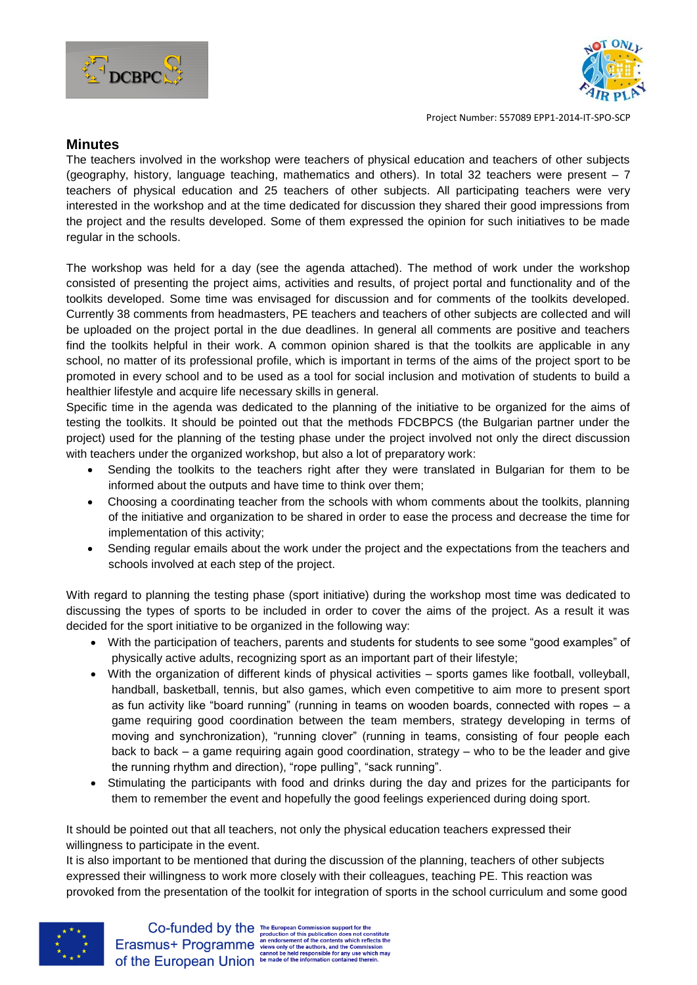



Project Number: 557089 EPP1-2014-IT-SPO-SCP

## **Minutes**

The teachers involved in the workshop were teachers of physical education and teachers of other subjects (geography, history, language teaching, mathematics and others). In total 32 teachers were present – 7 teachers of physical education and 25 teachers of other subjects. All participating teachers were very interested in the workshop and at the time dedicated for discussion they shared their good impressions from the project and the results developed. Some of them expressed the opinion for such initiatives to be made regular in the schools.

The workshop was held for a day (see the agenda attached). The method of work under the workshop consisted of presenting the project aims, activities and results, of project portal and functionality and of the toolkits developed. Some time was envisaged for discussion and for comments of the toolkits developed. Currently 38 comments from headmasters, PE teachers and teachers of other subjects are collected and will be uploaded on the project portal in the due deadlines. In general all comments are positive and teachers find the toolkits helpful in their work. A common opinion shared is that the toolkits are applicable in any school, no matter of its professional profile, which is important in terms of the aims of the project sport to be promoted in every school and to be used as a tool for social inclusion and motivation of students to build a healthier lifestyle and acquire life necessary skills in general.

Specific time in the agenda was dedicated to the planning of the initiative to be organized for the aims of testing the toolkits. It should be pointed out that the methods FDCBPCS (the Bulgarian partner under the project) used for the planning of the testing phase under the project involved not only the direct discussion with teachers under the organized workshop, but also a lot of preparatory work:

- Sending the toolkits to the teachers right after they were translated in Bulgarian for them to be informed about the outputs and have time to think over them;
- Choosing a coordinating teacher from the schools with whom comments about the toolkits, planning of the initiative and organization to be shared in order to ease the process and decrease the time for implementation of this activity;
- Sending regular emails about the work under the project and the expectations from the teachers and schools involved at each step of the project.

With regard to planning the testing phase (sport initiative) during the workshop most time was dedicated to discussing the types of sports to be included in order to cover the aims of the project. As a result it was decided for the sport initiative to be organized in the following way:

- With the participation of teachers, parents and students for students to see some "good examples" of physically active adults, recognizing sport as an important part of their lifestyle;
- With the organization of different kinds of physical activities sports games like football, volleyball, handball, basketball, tennis, but also games, which even competitive to aim more to present sport as fun activity like "board running" (running in teams on wooden boards, connected with ropes – a game requiring good coordination between the team members, strategy developing in terms of moving and synchronization), "running clover" (running in teams, consisting of four people each back to back – a game requiring again good coordination, strategy – who to be the leader and give the running rhythm and direction), "rope pulling", "sack running".
- Stimulating the participants with food and drinks during the day and prizes for the participants for them to remember the event and hopefully the good feelings experienced during doing sport.

It should be pointed out that all teachers, not only the physical education teachers expressed their willingness to participate in the event.

It is also important to be mentioned that during the discussion of the planning, teachers of other subjects expressed their willingness to work more closely with their colleagues, teaching PE. This reaction was provoked from the presentation of the toolkit for integration of sports in the school curriculum and some good